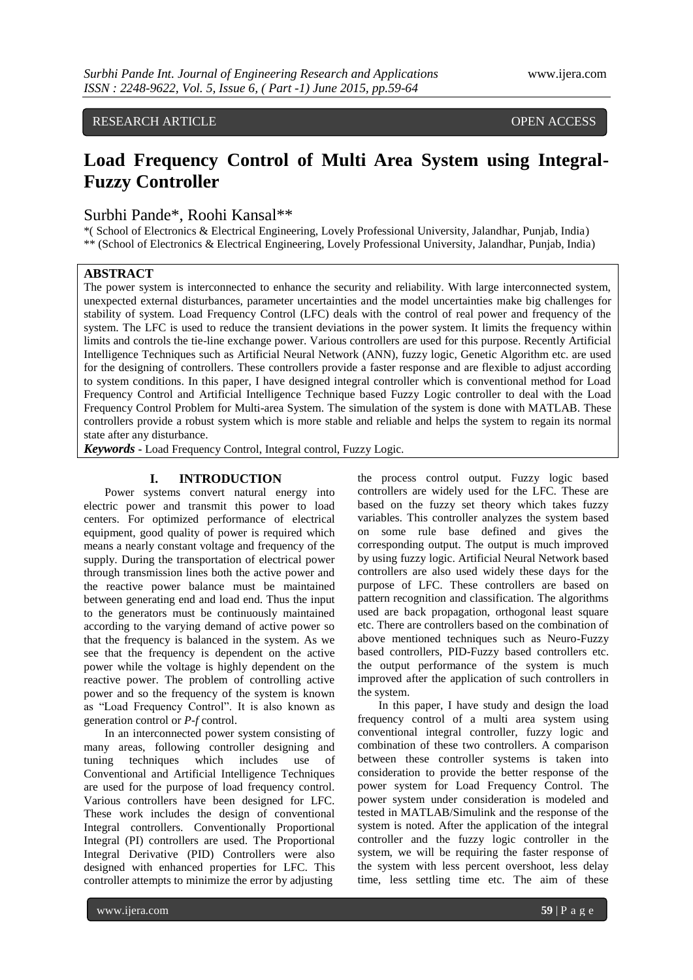RESEARCH ARTICLE OPEN ACCESS

# **Load Frequency Control of Multi Area System using Integral-Fuzzy Controller**

# Surbhi Pande\*, Roohi Kansal\*\*

\*( School of Electronics & Electrical Engineering, Lovely Professional University, Jalandhar, Punjab, India) \*\* (School of Electronics & Electrical Engineering, Lovely Professional University, Jalandhar, Punjab, India)

# **ABSTRACT**

The power system is interconnected to enhance the security and reliability. With large interconnected system, unexpected external disturbances, parameter uncertainties and the model uncertainties make big challenges for stability of system. Load Frequency Control (LFC) deals with the control of real power and frequency of the system. The LFC is used to reduce the transient deviations in the power system. It limits the frequency within limits and controls the tie-line exchange power. Various controllers are used for this purpose. Recently Artificial Intelligence Techniques such as Artificial Neural Network (ANN), fuzzy logic, Genetic Algorithm etc. are used for the designing of controllers. These controllers provide a faster response and are flexible to adjust according to system conditions. In this paper, I have designed integral controller which is conventional method for Load Frequency Control and Artificial Intelligence Technique based Fuzzy Logic controller to deal with the Load Frequency Control Problem for Multi-area System. The simulation of the system is done with MATLAB. These controllers provide a robust system which is more stable and reliable and helps the system to regain its normal state after any disturbance.

*Keywords* **-** Load Frequency Control, Integral control, Fuzzy Logic.

## **I. INTRODUCTION**

Power systems convert natural energy into electric power and transmit this power to load centers. For optimized performance of electrical equipment, good quality of power is required which means a nearly constant voltage and frequency of the supply. During the transportation of electrical power through transmission lines both the active power and the reactive power balance must be maintained between generating end and load end. Thus the input to the generators must be continuously maintained according to the varying demand of active power so that the frequency is balanced in the system. As we see that the frequency is dependent on the active power while the voltage is highly dependent on the reactive power. The problem of controlling active power and so the frequency of the system is known as "Load Frequency Control". It is also known as generation control or *P-f* control.

In an interconnected power system consisting of many areas, following controller designing and tuning techniques which includes use of Conventional and Artificial Intelligence Techniques are used for the purpose of load frequency control. Various controllers have been designed for LFC. These work includes the design of conventional Integral controllers. Conventionally Proportional Integral (PI) controllers are used. The Proportional Integral Derivative (PID) Controllers were also designed with enhanced properties for LFC. This controller attempts to minimize the error by adjusting

the process control output. Fuzzy logic based controllers are widely used for the LFC. These are based on the fuzzy set theory which takes fuzzy variables. This controller analyzes the system based on some rule base defined and gives the corresponding output. The output is much improved by using fuzzy logic. Artificial Neural Network based controllers are also used widely these days for the purpose of LFC. These controllers are based on pattern recognition and classification. The algorithms used are back propagation, orthogonal least square etc. There are controllers based on the combination of above mentioned techniques such as Neuro-Fuzzy based controllers, PID-Fuzzy based controllers etc. the output performance of the system is much improved after the application of such controllers in the system.

In this paper, I have study and design the load frequency control of a multi area system using conventional integral controller, fuzzy logic and combination of these two controllers. A comparison between these controller systems is taken into consideration to provide the better response of the power system for Load Frequency Control. The power system under consideration is modeled and tested in MATLAB/Simulink and the response of the system is noted. After the application of the integral controller and the fuzzy logic controller in the system, we will be requiring the faster response of the system with less percent overshoot, less delay time, less settling time etc. The aim of these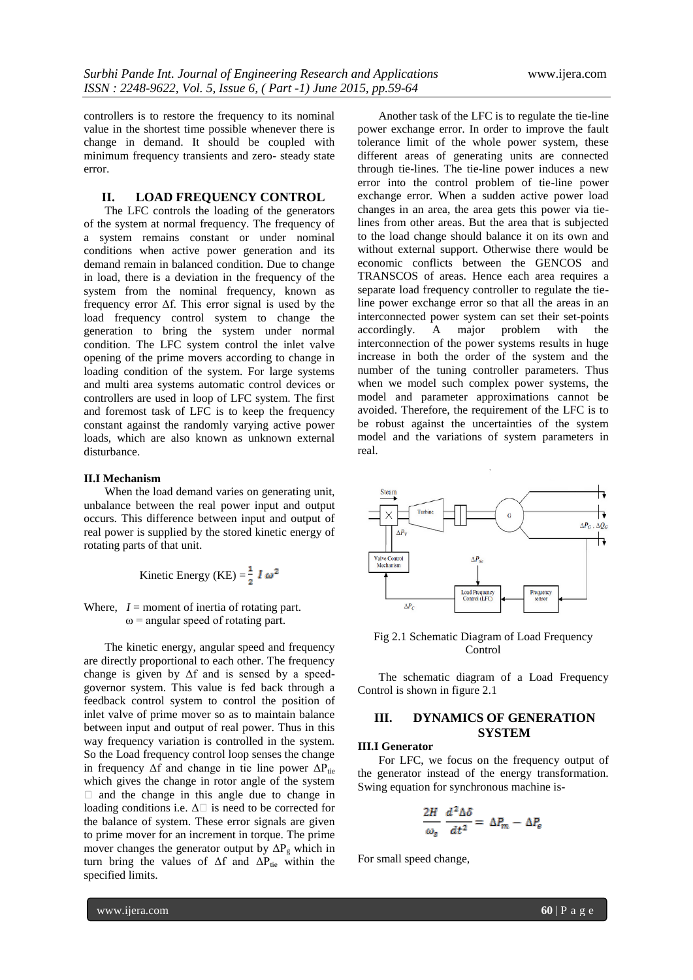controllers is to restore the frequency to its nominal value in the shortest time possible whenever there is change in demand. It should be coupled with minimum frequency transients and zero- steady state error.

# **II. LOAD FREQUENCY CONTROL**

The LFC controls the loading of the generators of the system at normal frequency. The frequency of a system remains constant or under nominal conditions when active power generation and its demand remain in balanced condition. Due to change in load, there is a deviation in the frequency of the system from the nominal frequency, known as frequency error Δf. This error signal is used by the load frequency control system to change the generation to bring the system under normal condition. The LFC system control the inlet valve opening of the prime movers according to change in loading condition of the system. For large systems and multi area systems automatic control devices or controllers are used in loop of LFC system. The first and foremost task of LFC is to keep the frequency constant against the randomly varying active power loads, which are also known as unknown external disturbance.

## **II.I Mechanism**

When the load demand varies on generating unit, unbalance between the real power input and output occurs. This difference between input and output of real power is supplied by the stored kinetic energy of rotating parts of that unit.

Kinetic Energy (KE) = 
$$
\frac{1}{2}
$$
 I  $\omega^2$ 

Where,  $I =$  moment of inertia of rotating part.  $\omega$  = angular speed of rotating part.

The kinetic energy, angular speed and frequency are directly proportional to each other. The frequency change is given by  $\Delta f$  and is sensed by a speedgovernor system. This value is fed back through a feedback control system to control the position of inlet valve of prime mover so as to maintain balance between input and output of real power. Thus in this way frequency variation is controlled in the system. So the Load frequency control loop senses the change in frequency  $\Delta f$  and change in tie line power  $\Delta P_{\text{tie}}$ which gives the change in rotor angle of the system  $\Box$  and the change in this angle due to change in loading conditions i.e.  $\Delta \Box$  is need to be corrected for the balance of system. These error signals are given to prime mover for an increment in torque. The prime mover changes the generator output by  $\Delta P_g$  which in turn bring the values of  $\Delta f$  and  $\Delta P_{\text{tie}}$  within the specified limits.

Another task of the LFC is to regulate the tie-line power exchange error. In order to improve the fault tolerance limit of the whole power system, these different areas of generating units are connected through tie-lines. The tie-line power induces a new error into the control problem of tie-line power exchange error. When a sudden active power load changes in an area, the area gets this power via tielines from other areas. But the area that is subjected to the load change should balance it on its own and without external support. Otherwise there would be economic conflicts between the GENCOS and TRANSCOS of areas. Hence each area requires a separate load frequency controller to regulate the tieline power exchange error so that all the areas in an interconnected power system can set their set-points accordingly. A major problem with the interconnection of the power systems results in huge increase in both the order of the system and the number of the tuning controller parameters. Thus when we model such complex power systems, the model and parameter approximations cannot be avoided. Therefore, the requirement of the LFC is to be robust against the uncertainties of the system model and the variations of system parameters in real.



Fig 2.1 Schematic Diagram of Load Frequency Control

The schematic diagram of a Load Frequency Control is shown in figure 2.1

# **III. DYNAMICS OF GENERATION SYSTEM**

### **III.I Generator**

For LFC, we focus on the frequency output of the generator instead of the energy transformation. Swing equation for synchronous machine is-

$$
\frac{2H}{\omega_{\rm e}}\,\frac{d^2\Delta\delta}{dt^2}=\,\Delta P_m-\Delta P_{\rm e}
$$

For small speed change,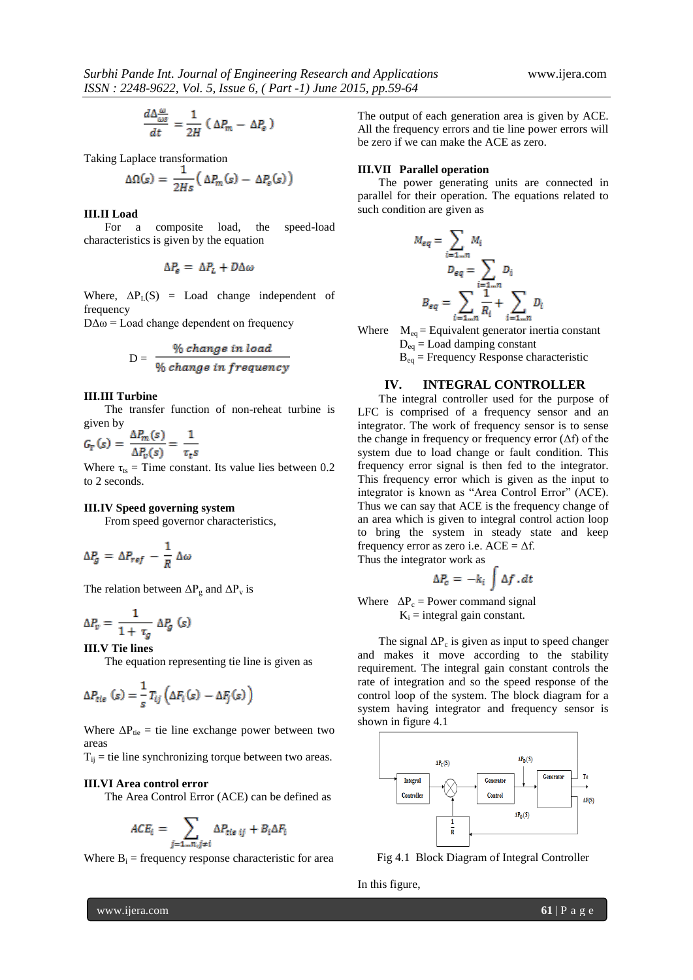$$
\frac{d\Delta \frac{\omega}{\omega s}}{dt} = \frac{1}{2H} \left( \Delta P_m - \Delta P_e \right)
$$

Taking Laplace transformation

$$
\Delta\Omega(s) = \frac{1}{2Hs} \big( \Delta P_m(s) - \Delta P_e(s) \big)
$$

#### **III.II Load**

For a composite load, the speed-load characteristics is given by the equation

$$
\Delta P_{\rm e} = \Delta P_{\rm L} + D \Delta \omega
$$

Where,  $\Delta P_L(S)$  = Load change independent of frequency

 $D\Delta\omega$  = Load change dependent on frequency

$$
D = \frac{\% \ change \ in \ load}{\% \ change \ in \ frequency}
$$

#### **III.III Turbine**

The transfer function of non-reheat turbine is

given by<br> $G_T(s) = \frac{\Delta P_m(s)}{\Delta P_v(s)} = \frac{1}{\tau_t s}$ 

Where  $\tau_{ts}$  = Time constant. Its value lies between 0.2 to 2 seconds.

#### **III.IV Speed governing system**

From speed governor characteristics,

$$
\Delta P_g = \Delta P_{ref} - \frac{1}{R} \Delta \omega
$$

The relation between  $\Delta P_g$  and  $\Delta P_v$  is

$$
\Delta P_v = \frac{1}{1 + \tau_g} \Delta P_g \ (s)
$$

**III.V Tie lines**

The equation representing tie line is given as

$$
\Delta P_{tie} (s) = \frac{1}{s} T_{ij} \left( \Delta F_i (s) - \Delta F_j (s) \right)
$$

Where  $\Delta P_{\text{tie}}$  = tie line exchange power between two areas

 $T_{ij}$  = tie line synchronizing torque between two areas.

#### **III.VI Area control error**

The Area Control Error (ACE) can be defined as

$$
ACE_i = \sum_{j=1\ldots n, j\neq i} \Delta P_{tie\ ij} + B_i \Delta F_i
$$

Where  $B_i$  = frequency response characteristic for area

The output of each generation area is given by ACE. All the frequency errors and tie line power errors will be zero if we can make the ACE as zero.

#### **III.VII Parallel operation**

The power generating units are connected in parallel for their operation. The equations related to such condition are given as

$$
M_{eq} = \sum_{i=1\ldots n} M_i
$$
  

$$
D_{eq} = \sum_{i=1\ldots n} D_i
$$
  

$$
B_{eq} = \sum_{i=1\ldots n} \frac{1}{R_i} + \sum_{i=1\ldots n} D_i
$$

Where  $M_{eq} =$  Equivalent generator inertia constant  $D_{eq} =$  Load damping constant

Beq = Frequency Response characteristic

#### **IV. INTEGRAL CONTROLLER**

The integral controller used for the purpose of LFC is comprised of a frequency sensor and an integrator. The work of frequency sensor is to sense the change in frequency or frequency error  $(\Delta f)$  of the system due to load change or fault condition. This frequency error signal is then fed to the integrator. This frequency error which is given as the input to integrator is known as "Area Control Error" (ACE). Thus we can say that ACE is the frequency change of an area which is given to integral control action loop to bring the system in steady state and keep frequency error as zero i.e.  $ACE = \Delta f$ . Thus the integrator work as

$$
\Delta P_c = -k_i \int \Delta f \, . \, dt
$$

Where  $\Delta P_c$  = Power command signal  $K_i$  = integral gain constant.

The signal  $\Delta P_c$  is given as input to speed changer and makes it move according to the stability requirement. The integral gain constant controls the rate of integration and so the speed response of the control loop of the system. The block diagram for a system having integrator and frequency sensor is shown in figure 4.1



Fig 4.1 Block Diagram of Integral Controller

In this figure,

www.ijera.com **61** | P a g e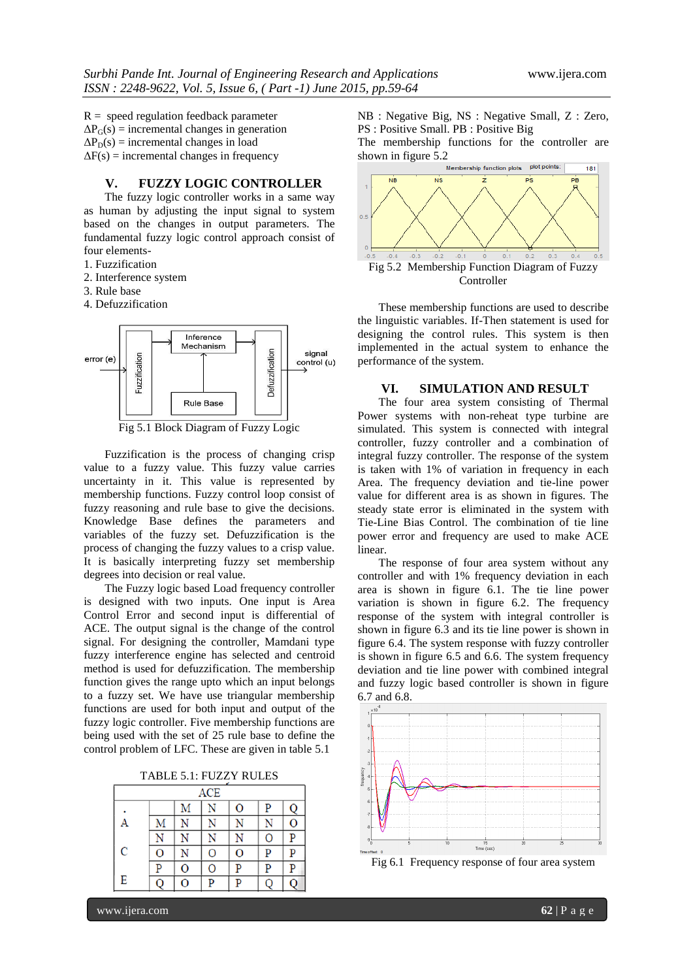$R = speed$  regulation feedback parameter  $\Delta P_G(s)$  = incremental changes in generation  $\Delta P_D(s)$  = incremental changes in load  $\Delta F(s)$  = incremental changes in frequency

**V. FUZZY LOGIC CONTROLLER**

The fuzzy logic controller works in a same way as human by adjusting the input signal to system based on the changes in output parameters. The fundamental fuzzy logic control approach consist of four elements-

1. Fuzzification

- 2. Interference system
- 3. Rule base
- 4. Defuzzification



Fig 5.1 Block Diagram of Fuzzy Logic

Fuzzification is the process of changing crisp value to a fuzzy value. This fuzzy value carries uncertainty in it. This value is represented by membership functions. Fuzzy control loop consist of fuzzy reasoning and rule base to give the decisions. Knowledge Base defines the parameters and variables of the fuzzy set. Defuzzification is the process of changing the fuzzy values to a crisp value. It is basically interpreting fuzzy set membership degrees into decision or real value.

The Fuzzy logic based Load frequency controller is designed with two inputs. One input is Area Control Error and second input is differential of ACE. The output signal is the change of the control signal. For designing the controller, Mamdani type fuzzy interference engine has selected and centroid method is used for defuzzification. The membership function gives the range upto which an input belongs to a fuzzy set. We have use triangular membership functions are used for both input and output of the fuzzy logic controller. Five membership functions are being used with the set of 25 rule base to define the control problem of LFC. These are given in table 5.1

TABLE 5.1: FUZZY RULES

| <b>ACE</b> |   |   |   |   |   |   |
|------------|---|---|---|---|---|---|
|            |   | Μ |   | O | P |   |
| A          | Μ |   |   |   |   | O |
|            |   |   |   | N | Ο | P |
| C          | Ō | N | Ō | Ō | P | P |
|            | D | O | 0 | D | P | P |
| E          |   | O | D |   |   |   |

NB : Negative Big, NS : Negative Small, Z : Zero, PS : Positive Small. PB : Positive Big

The membership functions for the controller are



These membership functions are used to describe the linguistic variables. If-Then statement is used for designing the control rules. This system is then implemented in the actual system to enhance the performance of the system.

## **VI. SIMULATION AND RESULT**

The four area system consisting of Thermal Power systems with non-reheat type turbine are simulated. This system is connected with integral controller, fuzzy controller and a combination of integral fuzzy controller. The response of the system is taken with 1% of variation in frequency in each Area. The frequency deviation and tie-line power value for different area is as shown in figures. The steady state error is eliminated in the system with Tie-Line Bias Control. The combination of tie line power error and frequency are used to make ACE linear.

The response of four area system without any controller and with 1% frequency deviation in each area is shown in figure 6.1. The tie line power variation is shown in figure 6.2. The frequency response of the system with integral controller is shown in figure 6.3 and its tie line power is shown in figure 6.4. The system response with fuzzy controller is shown in figure 6.5 and 6.6. The system frequency deviation and tie line power with combined integral and fuzzy logic based controller is shown in figure 6.7 and 6.8.



Fig 6.1 Frequency response of four area system

www.ijera.com **62** | P a g e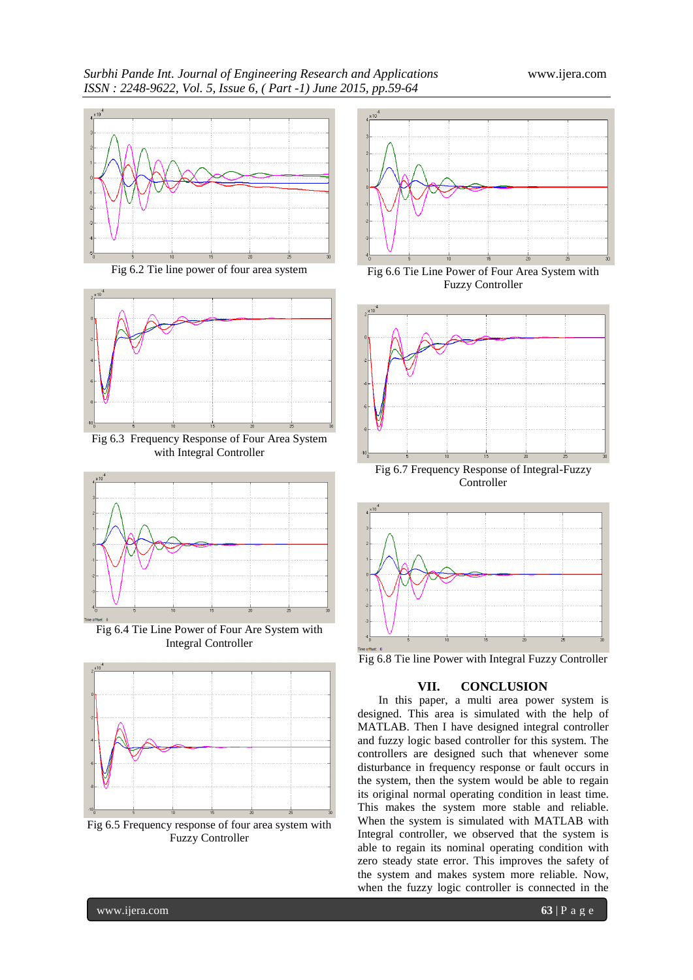

Fig 6.2 Tie line power of four area system



Fig 6.3 Frequency Response of Four Area System with Integral Controller



Fig 6.4 Tie Line Power of Four Are System with Integral Controller



Fig 6.5 Frequency response of four area system with Fuzzy Controller



Fig 6.6 Tie Line Power of Four Area System with Fuzzy Controller



Controller



Fig 6.8 Tie line Power with Integral Fuzzy Controller

# **VII. CONCLUSION**

In this paper, a multi area power system is designed. This area is simulated with the help of MATLAB. Then I have designed integral controller and fuzzy logic based controller for this system. The controllers are designed such that whenever some disturbance in frequency response or fault occurs in the system, then the system would be able to regain its original normal operating condition in least time. This makes the system more stable and reliable. When the system is simulated with MATLAB with Integral controller, we observed that the system is able to regain its nominal operating condition with zero steady state error. This improves the safety of the system and makes system more reliable. Now, when the fuzzy logic controller is connected in the